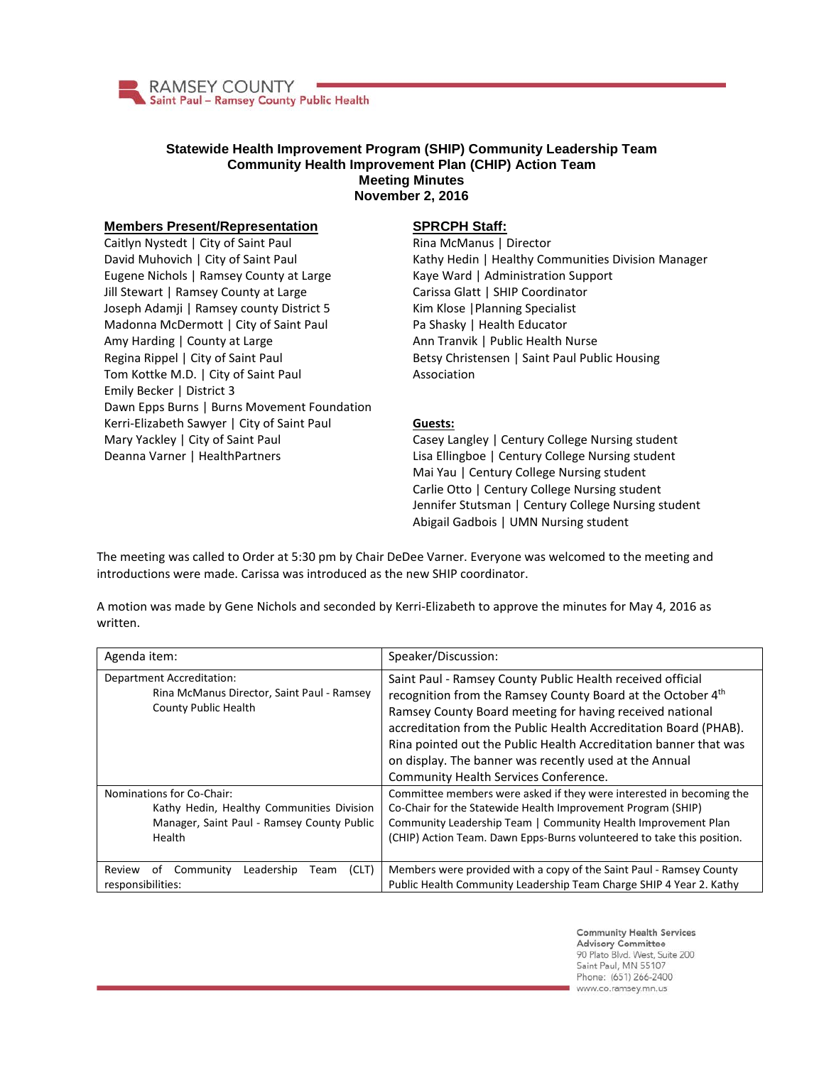

## **Statewide Health Improvement Program (SHIP) Community Leadership Team Community Health Improvement Plan (CHIP) Action Team Meeting Minutes November 2, 2016**

## **Members Present/Representation**

Caitlyn Nystedt | City of Saint Paul David Muhovich | City of Saint Paul Eugene Nichols | Ramsey County at Large Jill Stewart | Ramsey County at Large Joseph Adamji | Ramsey county District 5 Madonna McDermott | City of Saint Paul Amy Harding | County at Large Regina Rippel | City of Saint Paul Tom Kottke M.D. | City of Saint Paul Emily Becker | District 3 Dawn Epps Burns | Burns Movement Foundation Kerri-Elizabeth Sawyer | City of Saint Paul Mary Yackley | City of Saint Paul Deanna Varner | HealthPartners

## **SPRCPH Staff:**

Rina McManus | Director Kathy Hedin | Healthy Communities Division Manager Kaye Ward | Administration Support Carissa Glatt | SHIP Coordinator Kim Klose |Planning Specialist Pa Shasky | Health Educator Ann Tranvik | Public Health Nurse Betsy Christensen | Saint Paul Public Housing Association

## **Guests:**

Casey Langley | Century College Nursing student Lisa Ellingboe | Century College Nursing student Mai Yau | Century College Nursing student Carlie Otto | Century College Nursing student Jennifer Stutsman | Century College Nursing student Abigail Gadbois | UMN Nursing student

The meeting was called to Order at 5:30 pm by Chair DeDee Varner. Everyone was welcomed to the meeting and introductions were made. Carissa was introduced as the new SHIP coordinator.

A motion was made by Gene Nichols and seconded by Kerri-Elizabeth to approve the minutes for May 4, 2016 as written.

| Agenda item:                                                                                                                   | Speaker/Discussion:                                                                                                                                                                                                                                                                                                                                                                                                              |
|--------------------------------------------------------------------------------------------------------------------------------|----------------------------------------------------------------------------------------------------------------------------------------------------------------------------------------------------------------------------------------------------------------------------------------------------------------------------------------------------------------------------------------------------------------------------------|
| Department Accreditation:<br>Rina McManus Director, Saint Paul - Ramsey<br>County Public Health                                | Saint Paul - Ramsey County Public Health received official<br>recognition from the Ramsey County Board at the October 4th<br>Ramsey County Board meeting for having received national<br>accreditation from the Public Health Accreditation Board (PHAB).<br>Rina pointed out the Public Health Accreditation banner that was<br>on display. The banner was recently used at the Annual<br>Community Health Services Conference. |
| Nominations for Co-Chair:<br>Kathy Hedin, Healthy Communities Division<br>Manager, Saint Paul - Ramsey County Public<br>Health | Committee members were asked if they were interested in becoming the<br>Co-Chair for the Statewide Health Improvement Program (SHIP)<br>Community Leadership Team   Community Health Improvement Plan<br>(CHIP) Action Team. Dawn Epps-Burns volunteered to take this position.                                                                                                                                                  |
| (CLT)<br>Community<br>Leadership<br>Review<br>of<br>Team<br>responsibilities:                                                  | Members were provided with a copy of the Saint Paul - Ramsey County<br>Public Health Community Leadership Team Charge SHIP 4 Year 2. Kathy                                                                                                                                                                                                                                                                                       |

**Community Health Services Advisory Committee** 90 Plato Blvd. West, Suite 200 Saint Paul, MN 55107 Phone: (651) 266-2400 www.co.ramsey.mn.us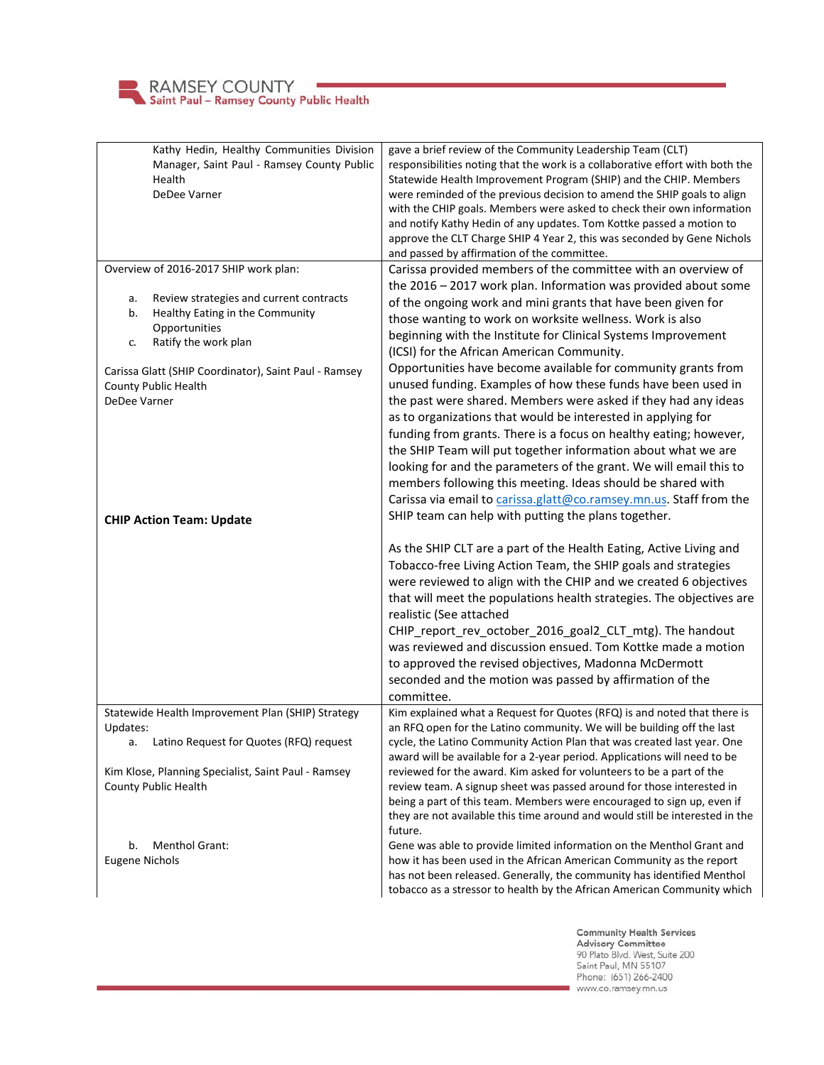

| Kathy Hedin, Healthy Communities Division             | gave a brief review of the Community Leadership Team (CLT)                                                                                     |
|-------------------------------------------------------|------------------------------------------------------------------------------------------------------------------------------------------------|
| Manager, Saint Paul - Ramsey County Public            | responsibilities noting that the work is a collaborative effort with both the                                                                  |
| Health                                                | Statewide Health Improvement Program (SHIP) and the CHIP. Members                                                                              |
| DeDee Varner                                          | were reminded of the previous decision to amend the SHIP goals to align                                                                        |
|                                                       | with the CHIP goals. Members were asked to check their own information                                                                         |
|                                                       | and notify Kathy Hedin of any updates. Tom Kottke passed a motion to                                                                           |
|                                                       | approve the CLT Charge SHIP 4 Year 2, this was seconded by Gene Nichols                                                                        |
|                                                       | and passed by affirmation of the committee.                                                                                                    |
| Overview of 2016-2017 SHIP work plan:                 | Carissa provided members of the committee with an overview of                                                                                  |
|                                                       | the $2016 - 2017$ work plan. Information was provided about some                                                                               |
| Review strategies and current contracts<br>a.         | of the ongoing work and mini grants that have been given for                                                                                   |
| Healthy Eating in the Community<br>b.                 | those wanting to work on worksite wellness. Work is also                                                                                       |
| Opportunities                                         | beginning with the Institute for Clinical Systems Improvement                                                                                  |
| Ratify the work plan<br>c.                            | (ICSI) for the African American Community.                                                                                                     |
| Carissa Glatt (SHIP Coordinator), Saint Paul - Ramsey | Opportunities have become available for community grants from                                                                                  |
| County Public Health                                  | unused funding. Examples of how these funds have been used in                                                                                  |
| DeDee Varner                                          | the past were shared. Members were asked if they had any ideas                                                                                 |
|                                                       | as to organizations that would be interested in applying for                                                                                   |
|                                                       | funding from grants. There is a focus on healthy eating; however,                                                                              |
|                                                       | the SHIP Team will put together information about what we are                                                                                  |
|                                                       | looking for and the parameters of the grant. We will email this to                                                                             |
|                                                       | members following this meeting. Ideas should be shared with                                                                                    |
|                                                       | Carissa via email to carissa.glatt@co.ramsey.mn.us. Staff from the                                                                             |
|                                                       | SHIP team can help with putting the plans together.                                                                                            |
| <b>CHIP Action Team: Update</b>                       |                                                                                                                                                |
|                                                       | As the SHIP CLT are a part of the Health Eating, Active Living and                                                                             |
|                                                       | Tobacco-free Living Action Team, the SHIP goals and strategies                                                                                 |
|                                                       | were reviewed to align with the CHIP and we created 6 objectives                                                                               |
|                                                       | that will meet the populations health strategies. The objectives are                                                                           |
|                                                       | realistic (See attached                                                                                                                        |
|                                                       | CHIP_report_rev_october_2016_goal2_CLT_mtg). The handout                                                                                       |
|                                                       | was reviewed and discussion ensued. Tom Kottke made a motion                                                                                   |
|                                                       | to approved the revised objectives, Madonna McDermott                                                                                          |
|                                                       | seconded and the motion was passed by affirmation of the                                                                                       |
|                                                       | committee.                                                                                                                                     |
| Statewide Health Improvement Plan (SHIP) Strategy     | Kim explained what a Request for Quotes (RFQ) is and noted that there is                                                                       |
| Updates:                                              | an RFQ open for the Latino community. We will be building off the last                                                                         |
| a. Latino Request for Quotes (RFQ) request            | cycle, the Latino Community Action Plan that was created last year. One                                                                        |
|                                                       | award will be available for a 2-year period. Applications will need to be                                                                      |
| Kim Klose, Planning Specialist, Saint Paul - Ramsey   | reviewed for the award. Kim asked for volunteers to be a part of the                                                                           |
| County Public Health                                  | review team. A signup sheet was passed around for those interested in                                                                          |
|                                                       | being a part of this team. Members were encouraged to sign up, even if                                                                         |
|                                                       | they are not available this time around and would still be interested in the                                                                   |
|                                                       | future.                                                                                                                                        |
| <b>Menthol Grant:</b><br>b.                           | Gene was able to provide limited information on the Menthol Grant and                                                                          |
| <b>Eugene Nichols</b>                                 | how it has been used in the African American Community as the report<br>has not been released. Generally, the community has identified Menthol |
|                                                       | tobacco as a stressor to health by the African American Community which                                                                        |
|                                                       |                                                                                                                                                |

Community Health Services<br>Advisory Committee<br>90 Plato Blvd. West, Suite 200<br>Saint Paul, MN 55107<br>Phone: (651) 266-2400 www.co.ramsey.mn.us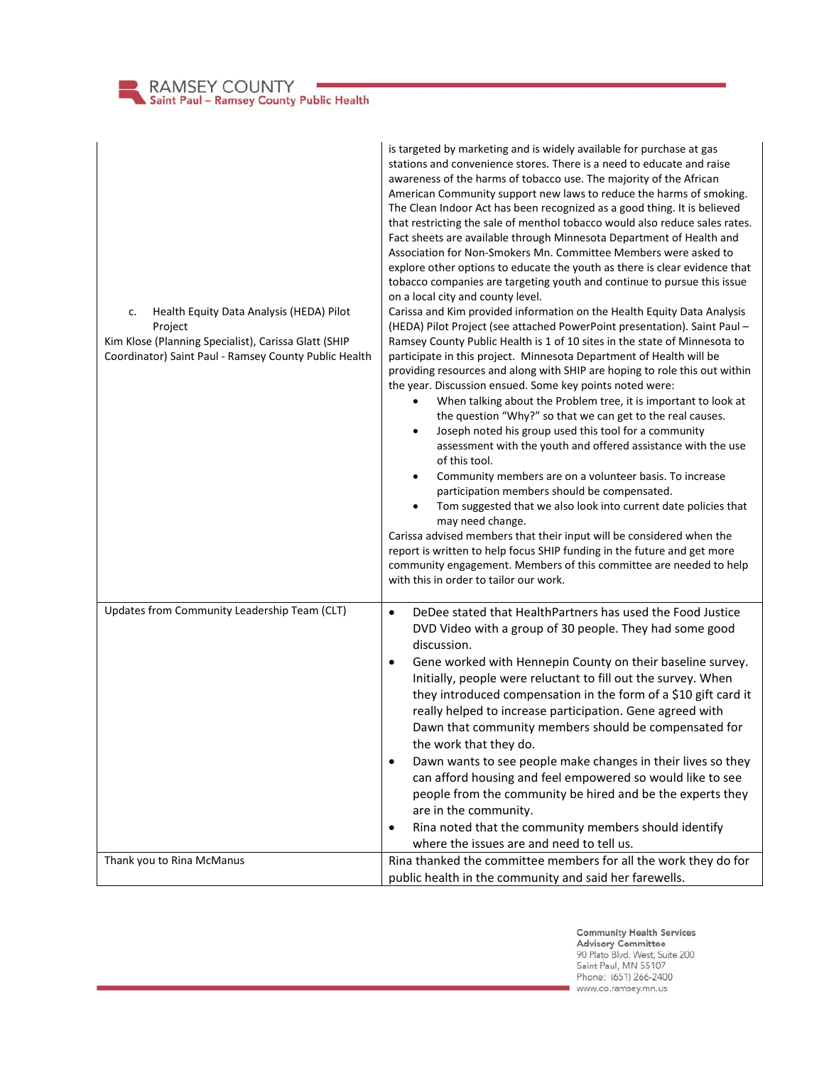| RAMSEY COUNTY<br>Saint Paul - Ramsey County Public Health |
|-----------------------------------------------------------|
|-----------------------------------------------------------|

| Health Equity Data Analysis (HEDA) Pilot<br>c.<br>Project<br>Kim Klose (Planning Specialist), Carissa Glatt (SHIP<br>Coordinator) Saint Paul - Ramsey County Public Health | is targeted by marketing and is widely available for purchase at gas<br>stations and convenience stores. There is a need to educate and raise<br>awareness of the harms of tobacco use. The majority of the African<br>American Community support new laws to reduce the harms of smoking.<br>The Clean Indoor Act has been recognized as a good thing. It is believed<br>that restricting the sale of menthol tobacco would also reduce sales rates.<br>Fact sheets are available through Minnesota Department of Health and<br>Association for Non-Smokers Mn. Committee Members were asked to<br>explore other options to educate the youth as there is clear evidence that<br>tobacco companies are targeting youth and continue to pursue this issue<br>on a local city and county level.<br>Carissa and Kim provided information on the Health Equity Data Analysis<br>(HEDA) Pilot Project (see attached PowerPoint presentation). Saint Paul -<br>Ramsey County Public Health is 1 of 10 sites in the state of Minnesota to<br>participate in this project. Minnesota Department of Health will be<br>providing resources and along with SHIP are hoping to role this out within<br>the year. Discussion ensued. Some key points noted were:<br>When talking about the Problem tree, it is important to look at<br>the question "Why?" so that we can get to the real causes.<br>Joseph noted his group used this tool for a community<br>$\bullet$<br>assessment with the youth and offered assistance with the use<br>of this tool.<br>Community members are on a volunteer basis. To increase<br>$\bullet$<br>participation members should be compensated.<br>Tom suggested that we also look into current date policies that<br>$\bullet$<br>may need change.<br>Carissa advised members that their input will be considered when the<br>report is written to help focus SHIP funding in the future and get more<br>community engagement. Members of this committee are needed to help<br>with this in order to tailor our work. |
|----------------------------------------------------------------------------------------------------------------------------------------------------------------------------|----------------------------------------------------------------------------------------------------------------------------------------------------------------------------------------------------------------------------------------------------------------------------------------------------------------------------------------------------------------------------------------------------------------------------------------------------------------------------------------------------------------------------------------------------------------------------------------------------------------------------------------------------------------------------------------------------------------------------------------------------------------------------------------------------------------------------------------------------------------------------------------------------------------------------------------------------------------------------------------------------------------------------------------------------------------------------------------------------------------------------------------------------------------------------------------------------------------------------------------------------------------------------------------------------------------------------------------------------------------------------------------------------------------------------------------------------------------------------------------------------------------------------------------------------------------------------------------------------------------------------------------------------------------------------------------------------------------------------------------------------------------------------------------------------------------------------------------------------------------------------------------------------------------------------------------------------------------------------------------------------------------------------------------------|
| Updates from Community Leadership Team (CLT)                                                                                                                               | DeDee stated that HealthPartners has used the Food Justice<br>$\bullet$<br>DVD Video with a group of 30 people. They had some good<br>discussion.                                                                                                                                                                                                                                                                                                                                                                                                                                                                                                                                                                                                                                                                                                                                                                                                                                                                                                                                                                                                                                                                                                                                                                                                                                                                                                                                                                                                                                                                                                                                                                                                                                                                                                                                                                                                                                                                                            |
|                                                                                                                                                                            | Gene worked with Hennepin County on their baseline survey.<br>$\bullet$<br>Initially, people were reluctant to fill out the survey. When<br>they introduced compensation in the form of a \$10 gift card it<br>really helped to increase participation. Gene agreed with<br>Dawn that community members should be compensated for<br>the work that they do.                                                                                                                                                                                                                                                                                                                                                                                                                                                                                                                                                                                                                                                                                                                                                                                                                                                                                                                                                                                                                                                                                                                                                                                                                                                                                                                                                                                                                                                                                                                                                                                                                                                                                  |
|                                                                                                                                                                            | Dawn wants to see people make changes in their lives so they<br>٠<br>can afford housing and feel empowered so would like to see<br>people from the community be hired and be the experts they<br>are in the community.                                                                                                                                                                                                                                                                                                                                                                                                                                                                                                                                                                                                                                                                                                                                                                                                                                                                                                                                                                                                                                                                                                                                                                                                                                                                                                                                                                                                                                                                                                                                                                                                                                                                                                                                                                                                                       |
|                                                                                                                                                                            | Rina noted that the community members should identify<br>٠<br>where the issues are and need to tell us.                                                                                                                                                                                                                                                                                                                                                                                                                                                                                                                                                                                                                                                                                                                                                                                                                                                                                                                                                                                                                                                                                                                                                                                                                                                                                                                                                                                                                                                                                                                                                                                                                                                                                                                                                                                                                                                                                                                                      |
| Thank you to Rina McManus                                                                                                                                                  | Rina thanked the committee members for all the work they do for<br>public health in the community and said her farewells.                                                                                                                                                                                                                                                                                                                                                                                                                                                                                                                                                                                                                                                                                                                                                                                                                                                                                                                                                                                                                                                                                                                                                                                                                                                                                                                                                                                                                                                                                                                                                                                                                                                                                                                                                                                                                                                                                                                    |

**Community Health Services<br>Advisory Committee**<br>90 Plato Blvd. West, Suite 200<br>Saint Paul, MN 55107<br>Phone: (651) 266-2400<br>www.co.ramsey.mn.us